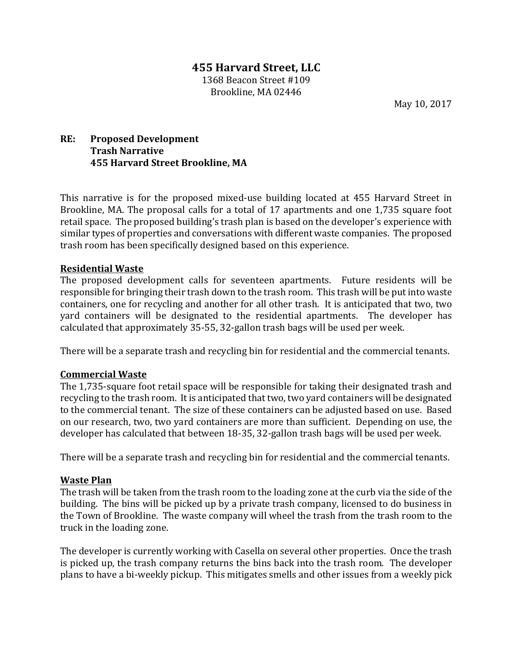# **455 Harvard Street, LLC** 1368 Beacon Street #109

Brookline, MA 02446

May 10, 2017

# **RE:** Proposed Development **Trash Narrative 455 Harvard Street Brookline, MA**

This narrative is for the proposed mixed-use building located at 455 Harvard Street in Brookline, MA. The proposal calls for a total of 17 apartments and one 1,735 square foot retail space. The proposed building's trash plan is based on the developer's experience with similar types of properties and conversations with different waste companies. The proposed trash room has been specifically designed based on this experience.

### **Residential Waste**

The proposed development calls for seventeen apartments. Future residents will be responsible for bringing their trash down to the trash room. This trash will be put into waste containers, one for recycling and another for all other trash. It is anticipated that two, two yard containers will be designated to the residential apartments. The developer has calculated that approximately 35-55, 32-gallon trash bags will be used per week.

There will be a separate trash and recycling bin for residential and the commercial tenants.

### **Commercial Waste**

The 1,735-square foot retail space will be responsible for taking their designated trash and recycling to the trash room. It is anticipated that two, two yard containers will be designated to the commercial tenant. The size of these containers can be adjusted based on use. Based on our research, two, two yard containers are more than sufficient. Depending on use, the developer has calculated that between 18-35, 32-gallon trash bags will be used per week.

There will be a separate trash and recycling bin for residential and the commercial tenants.

### **Waste Plan**

The trash will be taken from the trash room to the loading zone at the curb via the side of the building. The bins will be picked up by a private trash company, licensed to do business in the Town of Brookline. The waste company will wheel the trash from the trash room to the truck in the loading zone.

The developer is currently working with Casella on several other properties. Once the trash is picked up, the trash company returns the bins back into the trash room. The developer plans to have a bi-weekly pickup. This mitigates smells and other issues from a weekly pick